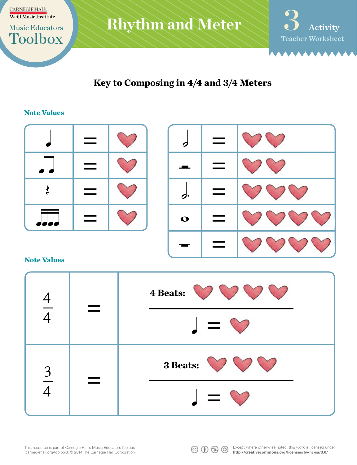

**Key to Composing in 4/4 and 3/4 Meters**

## **Note Values**

|                              | _ |             |
|------------------------------|---|-------------|
|                              |   |             |
|                              |   |             |
| and the state<br>Z<br>٠<br>Z |   | $\mathbf o$ |



#### **Note Values**

| $\overline{A}$ | 4 Beats: 000<br>$\Box = \heartsuit$   |
|----------------|---------------------------------------|
| $\frac{3}{5}$  | 3 Beats:<br>$\mathbf{I} = \mathbf{I}$ |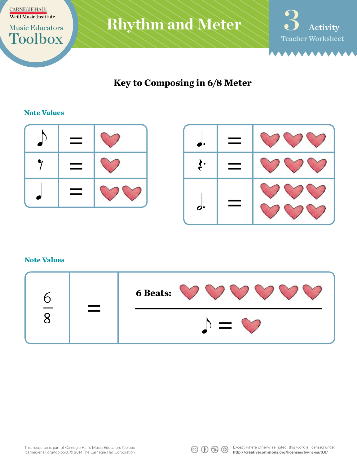



**Key to Composing in 6/8 Meter**

# **Note Values**





#### **Note Values**